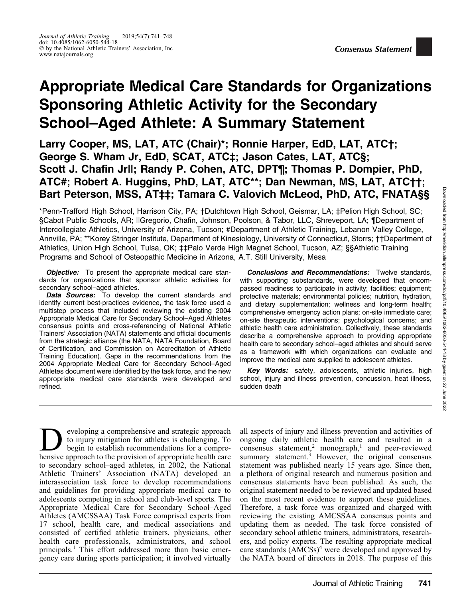# Appropriate Medical Care Standards for Organizations Sponsoring Athletic Activity for the Secondary School–Aged Athlete: A Summary Statement

# Larry Cooper, MS, LAT, ATC (Chair)\*; Ronnie Harper, EdD, LAT, ATC†; George S. Wham Jr, EdD, SCAT, ATC‡; Jason Cates, LAT, ATC§; Scott J. Chafin Jr||; Randy P. Cohen, ATC, DPT¶; Thomas P. Dompier, PhD, ATC#; Robert A. Huggins, PhD, LAT, ATC\*\*; Dan Newman, MS, LAT, ATC††; Bart Peterson, MSS, AT‡‡; Tamara C. Valovich McLeod, PhD, ATC, FNATA§§

\*Penn-Trafford High School, Harrison City, PA; †Dutchtown High School, Geismar, LA; ‡Pelion High School, SC; §Cabot Public Schools, AR; ||Gregorio, Chafin, Johnson, Poolson, & Tabor, LLC, Shreveport, LA; ¶Department of Intercollegiate Athletics, University of Arizona, Tucson; #Department of Athletic Training, Lebanon Valley College, Annville, PA; \*\*Korey Stringer Institute, Department of Kinesiology, University of Connecticut, Storrs; ††Department of Athletics, Union High School, Tulsa, OK; ‡‡Palo Verde High Magnet School, Tucson, AZ; §§Athletic Training Programs and School of Osteopathic Medicine in Arizona, A.T. Still University, Mesa

**Objective:** To present the appropriate medical care standards for organizations that sponsor athletic activities for secondary school–aged athletes.

Data Sources: To develop the current standards and identify current best-practices evidence, the task force used a multistep process that included reviewing the existing 2004 Appropriate Medical Care for Secondary School–Aged Athletes consensus points and cross-referencing of National Athletic Trainers' Association (NATA) statements and official documents from the strategic alliance (the NATA, NATA Foundation, Board of Certification, and Commission on Accreditation of Athletic Training Education). Gaps in the recommendations from the 2004 Appropriate Medical Care for Secondary School–Aged Athletes document were identified by the task force, and the new appropriate medical care standards were developed and refined.

**Conclusions and Recommendations:** Twelve standards, with supporting substandards, were developed that encompassed readiness to participate in activity; facilities; equipment; protective materials; environmental policies; nutrition, hydration, and dietary supplementation; wellness and long-term health; comprehensive emergency action plans; on-site immediate care; on-site therapeutic interventions; psychological concerns; and athletic health care administration. Collectively, these standards describe a comprehensive approach to providing appropriate health care to secondary school–aged athletes and should serve as a framework with which organizations can evaluate and improve the medical care supplied to adolescent athletes.

Key Words: safety, adolescents, athletic injuries, high school, injury and illness prevention, concussion, heat illness, sudden death

Eveloping a comprehensive and strategic approach<br>to injury mitigation for athletes is challenging. To<br>begin to establish recommendations for a compre-<br>hensive approach to the provision of appropriate health care to injury mitigation for athletes is challenging. To begin to establish recommendations for a comprehensive approach to the provision of appropriate health care to secondary school–aged athletes, in 2002, the National Athletic Trainers' Association (NATA) developed an interassociation task force to develop recommendations and guidelines for providing appropriate medical care to adolescents competing in school and club-level sports. The Appropriate Medical Care for Secondary School–Aged Athletes (AMCSSAA) Task Force comprised experts from 17 school, health care, and medical associations and consisted of certified athletic trainers, physicians, other health care professionals, administrators, and school principals.<sup>1</sup> This effort addressed more than basic emergency care during sports participation; it involved virtually

all aspects of injury and illness prevention and activities of ongoing daily athletic health care and resulted in a consensus statement,<sup>2</sup> monograph,<sup>1</sup> and peer-reviewed summary statement.<sup>3</sup> However, the original consensus statement was published nearly 15 years ago. Since then, a plethora of original research and numerous position and consensus statements have been published. As such, the original statement needed to be reviewed and updated based on the most recent evidence to support these guidelines. Therefore, a task force was organized and charged with reviewing the existing AMCSSAA consensus points and updating them as needed. The task force consisted of secondary school athletic trainers, administrators, researchers, and policy experts. The resulting appropriate medical care standards  $(AMCSs)^4$  were developed and approved by the NATA board of directors in 2018. The purpose of this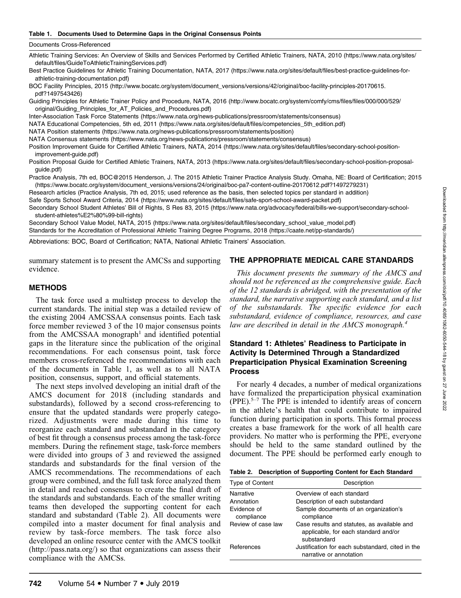#### Documents Cross-Referenced

Athletic Training Services: An Overview of Skills and Services Performed by Certified Athletic Trainers, NATA, 2010 (https://www.nata.org/sites/ default/files/GuideToAthleticTrainingServices.pdf)

Best Practice Guidelines for Athletic Training Documentation, NATA, 2017 (https://www.nata.org/sites/default/files/best-practice-guidelines-forathletic-training-documentation.pdf)

BOC Facility Principles, 2015 (http://www.bocatc.org/system/document\_versions/versions/42/original/boc-facility-principles-20170615. pdf?1497543426)

Guiding Principles for Athletic Trainer Policy and Procedure, NATA, 2016 (http://www.bocatc.org/system/comfy/cms/files/files/000/000/529/ original/Guiding\_Principles\_for\_AT\_Policies\_and\_Procedures.pdf)

Inter-Association Task Force Statements (https://www.nata.org/news-publications/pressroom/statements/consensus)

NATA Educational Competencies, 5th ed, 2011 (https://www.nata.org/sites/default/files/competencies\_5th\_edition.pdf)

NATA Position statements (https://www.nata.org/news-publications/pressroom/statements/position)

NATA Consensus statements (https://www.nata.org/news-publications/pressroom/statements/consensus)

Position Improvement Guide for Certified Athletic Trainers, NATA, 2014 (https://www.nata.org/sites/default/files/secondary-school-positionimprovement-guide.pdf)

Position Proposal Guide for Certified Athletic Trainers, NATA, 2013 (https://www.nata.org/sites/default/files/secondary-school-position-proposalguide.pdf)

Practice Analysis, 7th ed, BOC@2015 Henderson, J. The 2015 Athletic Trainer Practice Analysis Study. Omaha, NE: Board of Certification; 2015

(https://www.bocatc.org/system/document\_versions/versions/24/original/boc-pa7-content-outline-20170612.pdf?1497279231) Research articles (Practice Analysis, 7th ed, 2015; used reference as the basis, then selected topics per standard in addition)

Safe Sports School Award Criteria, 2014 (https://www.nata.org/sites/default/files/safe-sport-school-award-packet.pdf)

Secondary School Student Athletes' Bill of Rights, S Res 83, 2015 (https://www.nata.org/advocacy/federal/bills-we-support/secondary-schoolstudent-athletes%E2%80%99-bill-rights)

Secondary School Value Model, NATA, 2015 (https://www.nata.org/sites/default/files/secondary\_school\_value\_model.pdf) Standards for the Accreditation of Professional Athletic Training Degree Programs, 2018 (https://caate.net/pp-standards/)

Abbreviations: BOC, Board of Certification; NATA, National Athletic Trainers' Association.

summary statement is to present the AMCSs and supporting evidence.

#### **METHODS**

The task force used a multistep process to develop the current standards. The initial step was a detailed review of the existing 2004 AMCSSAA consensus points. Each task force member reviewed 3 of the 10 major consensus points from the AMCSSAA monograph<sup>1</sup> and identified potential gaps in the literature since the publication of the original recommendations. For each consensus point, task force members cross-referenced the recommendations with each of the documents in Table 1, as well as to all NATA position, consensus, support, and official statements.

The next steps involved developing an initial draft of the AMCS document for 2018 (including standards and substandards), followed by a second cross-referencing to ensure that the updated standards were properly categorized. Adjustments were made during this time to reorganize each standard and substandard in the category of best fit through a consensus process among the task-force members. During the refinement stage, task-force members were divided into groups of 3 and reviewed the assigned standards and substandards for the final version of the AMCS recommendations. The recommendations of each group were combined, and the full task force analyzed them in detail and reached consensus to create the final draft of the standards and substandards. Each of the smaller writing teams then developed the supporting content for each standard and substandard (Table 2). All documents were compiled into a master document for final analysis and review by task-force members. The task force also developed an online resource center with the AMCS toolkit (http://pass.nata.org/) so that organizations can assess their compliance with the AMCSs.

## THE APPROPRIATE MEDICAL CARE STANDARDS

This document presents the summary of the AMCS and should not be referenced as the comprehensive guide. Each of the 12 standards is abridged, with the presentation of the standard, the narrative supporting each standard, and a list of the substandards. The specific evidence for each substandard, evidence of compliance, resources, and case law are described in detail in the AMCS monograph.<sup>4</sup>

#### Standard 1: Athletes' Readiness to Participate in Activity Is Determined Through a Standardized Preparticipation Physical Examination Screening Process

For nearly 4 decades, a number of medical organizations have formalized the preparticipation physical examination (PPE).5–7 The PPE is intended to identify areas of concern in the athlete's health that could contribute to impaired function during participation in sports. This formal process creates a base framework for the work of all health care providers. No matter who is performing the PPE, everyone should be held to the same standard outlined by the document. The PPE should be performed early enough to

|  | Table 2. Description of Supporting Content for Each Standard |  |  |
|--|--------------------------------------------------------------|--|--|
|  |                                                              |  |  |

| Type of Content           | Description                                                                                        |  |  |
|---------------------------|----------------------------------------------------------------------------------------------------|--|--|
| Narrative                 | Overview of each standard                                                                          |  |  |
| Annotation                | Description of each substandard                                                                    |  |  |
| Evidence of<br>compliance | Sample documents of an organization's<br>compliance                                                |  |  |
| Review of case law        | Case results and statutes, as available and<br>applicable, for each standard and/or<br>substandard |  |  |
| References                | Justification for each substandard, cited in the<br>narrative or annotation                        |  |  |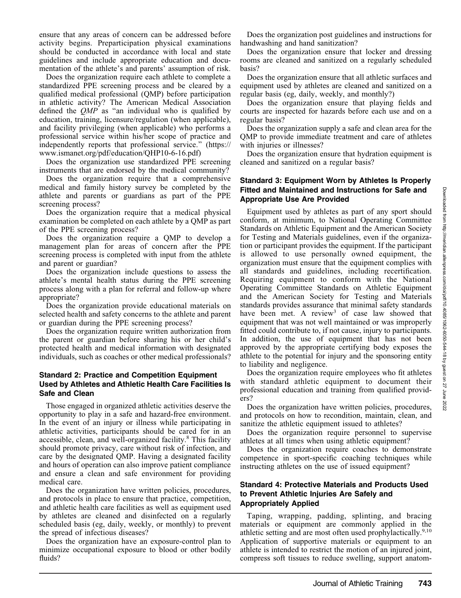ensure that any areas of concern can be addressed before activity begins. Preparticipation physical examinations should be conducted in accordance with local and state guidelines and include appropriate education and documentation of the athlete's and parents' assumption of risk.

Does the organization require each athlete to complete a standardized PPE screening process and be cleared by a qualified medical professional (QMP) before participation in athletic activity? The American Medical Association defined the  $QMP$  as "an individual who is qualified by education, training, licensure/regulation (when applicable), and facility privileging (when applicable) who performs a professional service within his/her scope of practice and independently reports that professional service.'' (https:// www.ismanet.org/pdf/education/QHP10-6-16.pdf)

Does the organization use standardized PPE screening instruments that are endorsed by the medical community?

Does the organization require that a comprehensive medical and family history survey be completed by the athlete and parents or guardians as part of the PPE screening process?

Does the organization require that a medical physical examination be completed on each athlete by a QMP as part of the PPE screening process?

Does the organization require a QMP to develop a management plan for areas of concern after the PPE screening process is completed with input from the athlete and parent or guardian?

Does the organization include questions to assess the athlete's mental health status during the PPE screening process along with a plan for referral and follow-up where appropriate?

Does the organization provide educational materials on selected health and safety concerns to the athlete and parent or guardian during the PPE screening process?

Does the organization require written authorization from the parent or guardian before sharing his or her child's protected health and medical information with designated individuals, such as coaches or other medical professionals?

#### Standard 2: Practice and Competition Equipment Used by Athletes and Athletic Health Care Facilities Is Safe and Clean

Those engaged in organized athletic activities deserve the opportunity to play in a safe and hazard-free environment. In the event of an injury or illness while participating in athletic activities, participants should be cared for in an accessible, clean, and well-organized facility.<sup>8</sup> This facility should promote privacy, care without risk of infection, and care by the designated QMP. Having a designated facility and hours of operation can also improve patient compliance and ensure a clean and safe environment for providing medical care.

Does the organization have written policies, procedures, and protocols in place to ensure that practice, competition, and athletic health care facilities as well as equipment used by athletes are cleaned and disinfected on a regularly scheduled basis (eg, daily, weekly, or monthly) to prevent the spread of infectious diseases?

Does the organization have an exposure-control plan to minimize occupational exposure to blood or other bodily fluids?

Does the organization post guidelines and instructions for handwashing and hand sanitization?

Does the organization ensure that locker and dressing rooms are cleaned and sanitized on a regularly scheduled basis?

Does the organization ensure that all athletic surfaces and equipment used by athletes are cleaned and sanitized on a regular basis (eg, daily, weekly, and monthly?)

Does the organization ensure that playing fields and courts are inspected for hazards before each use and on a regular basis?

Does the organization supply a safe and clean area for the QMP to provide immediate treatment and care of athletes with injuries or illnesses?

Does the organization ensure that hydration equipment is cleaned and sanitized on a regular basis?

#### Standard 3: Equipment Worn by Athletes Is Properly Fitted and Maintained and Instructions for Safe and Appropriate Use Are Provided

Equipment used by athletes as part of any sport should conform, at minimum, to National Operating Committee Standards on Athletic Equipment and the American Society for Testing and Materials guidelines, even if the organization or participant provides the equipment. If the participant is allowed to use personally owned equipment, the organization must ensure that the equipment complies with all standards and guidelines, including recertification. Requiring equipment to conform with the National Operating Committee Standards on Athletic Equipment and the American Society for Testing and Materials standards provides assurance that minimal safety standards have been met. A review<sup>3</sup> of case law showed that equipment that was not well maintained or was improperly fitted could contribute to, if not cause, injury to participants. In addition, the use of equipment that has not been approved by the appropriate certifying body exposes the athlete to the potential for injury and the sponsoring entity to liability and negligence.

Does the organization require employees who fit athletes with standard athletic equipment to document their professional education and training from qualified providers?

Does the organization have written policies, procedures, and protocols on how to recondition, maintain, clean, and sanitize the athletic equipment issued to athletes?

Does the organization require personnel to supervise athletes at all times when using athletic equipment?

Does the organization require coaches to demonstrate competence in sport-specific coaching techniques while instructing athletes on the use of issued equipment?

#### Standard 4: Protective Materials and Products Used to Prevent Athletic Injuries Are Safely and Appropriately Applied

Taping, wrapping, padding, splinting, and bracing materials or equipment are commonly applied in the athletic setting and are most often used prophylactically. $9,10$ Application of supportive materials or equipment to an athlete is intended to restrict the motion of an injured joint, compress soft tissues to reduce swelling, support anatom-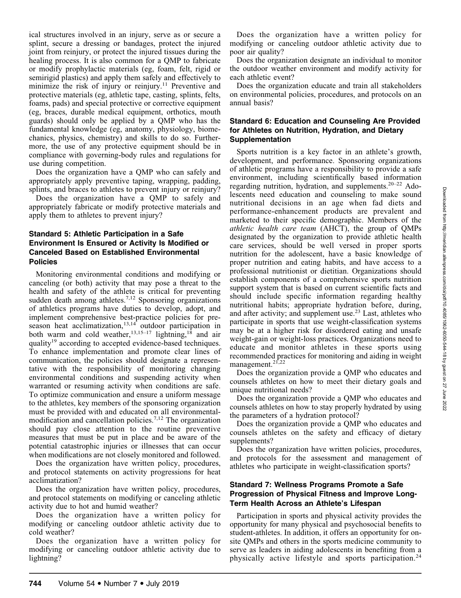ical structures involved in an injury, serve as or secure a splint, secure a dressing or bandages, protect the injured joint from reinjury, or protect the injured tissues during the healing process. It is also common for a QMP to fabricate or modify prophylactic materials (eg, foam, felt, rigid or semirigid plastics) and apply them safely and effectively to minimize the risk of injury or reinjury.<sup>11</sup> Preventive and protective materials (eg, athletic tape, casting, splints, felts, foams, pads) and special protective or corrective equipment (eg, braces, durable medical equipment, orthotics, mouth guards) should only be applied by a QMP who has the fundamental knowledge (eg, anatomy, physiology, biomechanics, physics, chemistry) and skills to do so. Furthermore, the use of any protective equipment should be in compliance with governing-body rules and regulations for use during competition.

Does the organization have a QMP who can safely and appropriately apply preventive taping, wrapping, padding, splints, and braces to athletes to prevent injury or reinjury?

Does the organization have a QMP to safely and appropriately fabricate or modify protective materials and apply them to athletes to prevent injury?

#### Standard 5: Athletic Participation in a Safe Environment Is Ensured or Activity Is Modified or Canceled Based on Established Environmental Policies

Monitoring environmental conditions and modifying or canceling (or both) activity that may pose a threat to the health and safety of the athlete is critical for preventing sudden death among athletes.<sup>7,12</sup> Sponsoring organizations of athletics programs have duties to develop, adopt, and implement comprehensive best-practice policies for preseason heat acclimatization, $13,14$  outdoor participation in both warm and cold weather,  $13,15-17$  lightning,  $18$  and air quality<sup>19</sup> according to accepted evidence-based techniques. To enhance implementation and promote clear lines of communication, the policies should designate a representative with the responsibility of monitoring changing environmental conditions and suspending activity when warranted or resuming activity when conditions are safe. To optimize communication and ensure a uniform message to the athletes, key members of the sponsoring organization must be provided with and educated on all environmentalmodification and cancellation policies.7,12 The organization should pay close attention to the routine preventive measures that must be put in place and be aware of the potential catastrophic injuries or illnesses that can occur when modifications are not closely monitored and followed.

Does the organization have written policy, procedures, and protocol statements on activity progressions for heat acclimatization?

Does the organization have written policy, procedures, and protocol statements on modifying or canceling athletic activity due to hot and humid weather?

Does the organization have a written policy for modifying or canceling outdoor athletic activity due to cold weather?

Does the organization have a written policy for modifying or canceling outdoor athletic activity due to lightning?

Does the organization have a written policy for modifying or canceling outdoor athletic activity due to poor air quality?

Does the organization designate an individual to monitor the outdoor weather environment and modify activity for each athletic event?

Does the organization educate and train all stakeholders on environmental policies, procedures, and protocols on an annual basis?

#### Standard 6: Education and Counseling Are Provided for Athletes on Nutrition, Hydration, and Dietary **Supplementation**

Sports nutrition is a key factor in an athlete's growth, development, and performance. Sponsoring organizations of athletic programs have a responsibility to provide a safe environment, including scientifically based information regarding nutrition, hydration, and supplements.20–22 Adolescents need education and counseling to make sound nutritional decisions in an age when fad diets and performance-enhancement products are prevalent and marketed to their specific demographic. Members of the athletic health care team (AHCT), the group of QMPs designated by the organization to provide athletic health care services, should be well versed in proper sports nutrition for the adolescent, have a basic knowledge of proper nutrition and eating habits, and have access to a professional nutritionist or dietitian. Organizations should establish components of a comprehensive sports nutrition support system that is based on current scientific facts and should include specific information regarding healthy nutritional habits; appropriate hydration before, during, and after activity; and supplement use. $2<sup>3</sup>$  Last, athletes who participate in sports that use weight-classification systems may be at a higher risk for disordered eating and unsafe weight-gain or weight-loss practices. Organizations need to educate and monitor athletes in these sports using recommended practices for monitoring and aiding in weight management.<sup>21,22</sup>

Does the organization provide a QMP who educates and counsels athletes on how to meet their dietary goals and unique nutritional needs?

Does the organization provide a QMP who educates and counsels athletes on how to stay properly hydrated by using the parameters of a hydration protocol?

Does the organization provide a QMP who educates and counsels athletes on the safety and efficacy of dietary supplements?

Does the organization have written policies, procedures, and protocols for the assessment and management of athletes who participate in weight-classification sports?

#### Standard 7: Wellness Programs Promote a Safe Progression of Physical Fitness and Improve Long-Term Health Across an Athlete's Lifespan

Participation in sports and physical activity provides the opportunity for many physical and psychosocial benefits to student-athletes. In addition, it offers an opportunity for onsite QMPs and others in the sports medicine community to serve as leaders in aiding adolescents in benefiting from a physically active lifestyle and sports participation.<sup>24</sup>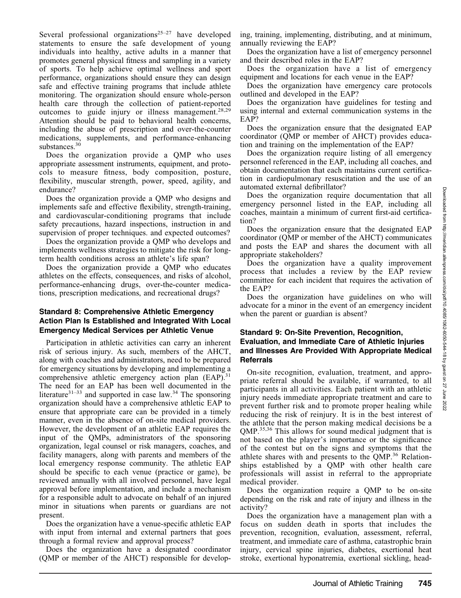Several professional organizations<sup>25–27</sup> have developed statements to ensure the safe development of young individuals into healthy, active adults in a manner that promotes general physical fitness and sampling in a variety of sports. To help achieve optimal wellness and sport performance, organizations should ensure they can design safe and effective training programs that include athlete monitoring. The organization should ensure whole-person health care through the collection of patient-reported outcomes to guide injury or illness management.<sup>28,29</sup> Attention should be paid to behavioral health concerns, including the abuse of prescription and over-the-counter medications, supplements, and performance-enhancing substances.<sup>30</sup>

Does the organization provide a QMP who uses appropriate assessment instruments, equipment, and protocols to measure fitness, body composition, posture, flexibility, muscular strength, power, speed, agility, and endurance?

Does the organization provide a QMP who designs and implements safe and effective flexibility, strength-training, and cardiovascular-conditioning programs that include safety precautions, hazard inspections, instruction in and supervision of proper techniques. and expected outcomes?

Does the organization provide a QMP who develops and implements wellness strategies to mitigate the risk for longterm health conditions across an athlete's life span?

Does the organization provide a QMP who educates athletes on the effects, consequences, and risks of alcohol, performance-enhancing drugs, over-the-counter medications, prescription medications, and recreational drugs?

#### Standard 8: Comprehensive Athletic Emergency Action Plan Is Established and Integrated With Local Emergency Medical Services per Athletic Venue

Participation in athletic activities can carry an inherent risk of serious injury. As such, members of the AHCT, along with coaches and administrators, need to be prepared for emergency situations by developing and implementing a comprehensive athletic emergency action plan  $(EAP)$ .<sup>31</sup> The need for an EAP has been well documented in the literature $31-33$  and supported in case law.<sup>34</sup> The sponsoring organization should have a comprehensive athletic EAP to ensure that appropriate care can be provided in a timely manner, even in the absence of on-site medical providers. However, the development of an athletic EAP requires the input of the QMPs, administrators of the sponsoring organization, legal counsel or risk managers, coaches, and facility managers, along with parents and members of the local emergency response community. The athletic EAP should be specific to each venue (practice or game), be reviewed annually with all involved personnel, have legal approval before implementation, and include a mechanism for a responsible adult to advocate on behalf of an injured minor in situations when parents or guardians are not present.

Does the organization have a venue-specific athletic EAP with input from internal and external partners that goes through a formal review and approval process?

Does the organization have a designated coordinator (QMP or member of the AHCT) responsible for developing, training, implementing, distributing, and at minimum, annually reviewing the EAP?

Does the organization have a list of emergency personnel and their described roles in the EAP?

Does the organization have a list of emergency equipment and locations for each venue in the EAP?

Does the organization have emergency care protocols outlined and developed in the EAP?

Does the organization have guidelines for testing and using internal and external communication systems in the EAP?

Does the organization ensure that the designated EAP coordinator (QMP or member of AHCT) provides education and training on the implementation of the EAP?

Does the organization require listing of all emergency personnel referenced in the EAP, including all coaches, and obtain documentation that each maintains current certification in cardiopulmonary resuscitation and the use of an automated external defibrillator?

Does the organization require documentation that all emergency personnel listed in the EAP, including all coaches, maintain a minimum of current first-aid certification?

Does the organization ensure that the designated EAP coordinator (QMP or member of the AHCT) communicates and posts the EAP and shares the document with all appropriate stakeholders?

Does the organization have a quality improvement process that includes a review by the EAP review committee for each incident that requires the activation of the EAP?

Does the organization have guidelines on who will advocate for a minor in the event of an emergency incident when the parent or guardian is absent?

#### Standard 9: On-Site Prevention, Recognition, Evaluation, and Immediate Care of Athletic Injuries and Illnesses Are Provided With Appropriate Medical **Referrals**

On-site recognition, evaluation, treatment, and appropriate referral should be available, if warranted, to all participants in all activities. Each patient with an athletic injury needs immediate appropriate treatment and care to prevent further risk and to promote proper healing while reducing the risk of reinjury. It is in the best interest of the athlete that the person making medical decisions be a QMP.35,36 This allows for sound medical judgment that is not based on the player's importance or the significance of the contest but on the signs and symptoms that the athlete shares with and presents to the QMP.<sup>36</sup> Relationships established by a QMP with other health care professionals will assist in referral to the appropriate medical provider.

Does the organization require a QMP to be on-site depending on the risk and rate of injury and illness in the activity?

Does the organization have a management plan with a focus on sudden death in sports that includes the prevention, recognition, evaluation, assessment, referral, treatment, and immediate care of asthma, catastrophic brain injury, cervical spine injuries, diabetes, exertional heat stroke, exertional hyponatremia, exertional sickling, head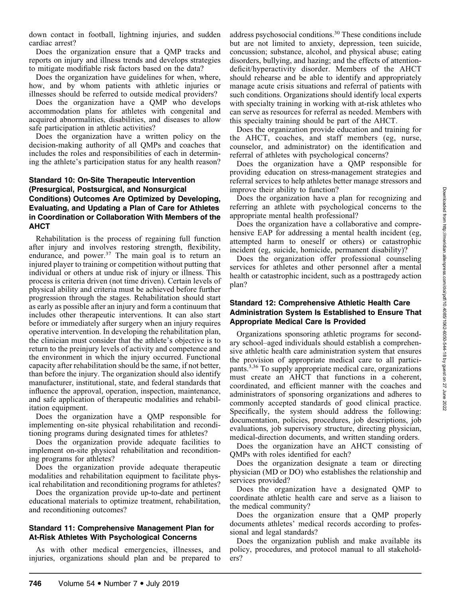down contact in football, lightning injuries, and sudden cardiac arrest?

Does the organization ensure that a QMP tracks and reports on injury and illness trends and develops strategies to mitigate modifiable risk factors based on the data?

Does the organization have guidelines for when, where, how, and by whom patients with athletic injuries or illnesses should be referred to outside medical providers?

Does the organization have a QMP who develops accommodation plans for athletes with congenital and acquired abnormalities, disabilities, and diseases to allow safe participation in athletic activities?

Does the organization have a written policy on the decision-making authority of all QMPs and coaches that includes the roles and responsibilities of each in determining the athlete's participation status for any health reason?

### Standard 10: On-Site Therapeutic Intervention (Presurgical, Postsurgical, and Nonsurgical Conditions) Outcomes Are Optimized by Developing, Evaluating, and Updating a Plan of Care for Athletes in Coordination or Collaboration With Members of the AHCT

Rehabilitation is the process of regaining full function after injury and involves restoring strength, flexibility, endurance, and power. $37$  The main goal is to return an injured player to training or competition without putting that individual or others at undue risk of injury or illness. This process is criteria driven (not time driven). Certain levels of physical ability and criteria must be achieved before further progression through the stages. Rehabilitation should start as early as possible after an injury and form a continuum that includes other therapeutic interventions. It can also start before or immediately after surgery when an injury requires operative intervention. In developing the rehabilitation plan, the clinician must consider that the athlete's objective is to return to the preinjury levels of activity and competence and the environment in which the injury occurred. Functional capacity after rehabilitation should be the same, if not better, than before the injury. The organization should also identify manufacturer, institutional, state, and federal standards that influence the approval, operation, inspection, maintenance, and safe application of therapeutic modalities and rehabilitation equipment.

Does the organization have a QMP responsible for implementing on-site physical rehabilitation and reconditioning programs during designated times for athletes?

Does the organization provide adequate facilities to implement on-site physical rehabilitation and reconditioning programs for athletes?

Does the organization provide adequate therapeutic modalities and rehabilitation equipment to facilitate physical rehabilitation and reconditioning programs for athletes?

Does the organization provide up-to-date and pertinent educational materials to optimize treatment, rehabilitation, and reconditioning outcomes?

#### Standard 11: Comprehensive Management Plan for At-Risk Athletes With Psychological Concerns

As with other medical emergencies, illnesses, and injuries, organizations should plan and be prepared to address psychosocial conditions.30 These conditions include but are not limited to anxiety, depression, teen suicide, concussion; substance, alcohol, and physical abuse; eating disorders, bullying, and hazing; and the effects of attentiondeficit/hyperactivity disorder. Members of the AHCT should rehearse and be able to identify and appropriately manage acute crisis situations and referral of patients with such conditions. Organizations should identify local experts with specialty training in working with at-risk athletes who can serve as resources for referral as needed. Members with this specialty training should be part of the AHCT.

Does the organization provide education and training for the AHCT, coaches, and staff members (eg, nurse, counselor, and administrator) on the identification and referral of athletes with psychological concerns?

Does the organization have a QMP responsible for providing education on stress-management strategies and referral services to help athletes better manage stressors and improve their ability to function?

Does the organization have a plan for recognizing and referring an athlete with psychological concerns to the appropriate mental health professional?

Does the organization have a collaborative and comprehensive EAP for addressing a mental health incident (eg, attempted harm to oneself or others) or catastrophic incident (eg, suicide, homicide, permanent disability)?

Does the organization offer professional counseling services for athletes and other personnel after a mental health or catastrophic incident, such as a posttragedy action plan?

#### Standard 12: Comprehensive Athletic Health Care Administration System Is Established to Ensure That Appropriate Medical Care Is Provided

Organizations sponsoring athletic programs for secondary school–aged individuals should establish a comprehensive athletic health care administration system that ensures the provision of appropriate medical care to all participants.3,36 To supply appropriate medical care, organizations must create an AHCT that functions in a coherent, coordinated, and efficient manner with the coaches and administrators of sponsoring organizations and adheres to commonly accepted standards of good clinical practice. Specifically, the system should address the following: documentation, policies, procedures, job descriptions, job evaluations, job supervisory structure, directing physician, medical-direction documents, and written standing orders.

Does the organization have an AHCT consisting of QMPs with roles identified for each?

Does the organization designate a team or directing physician (MD or DO) who establishes the relationship and services provided?

Does the organization have a designated QMP to coordinate athletic health care and serve as a liaison to the medical community?

Does the organization ensure that a QMP properly documents athletes' medical records according to professional and legal standards?

Does the organization publish and make available its policy, procedures, and protocol manual to all stakeholders?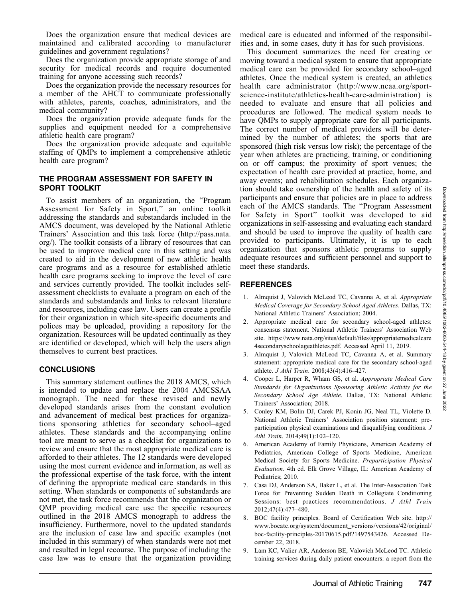Does the organization ensure that medical devices are maintained and calibrated according to manufacturer guidelines and government regulations?

Does the organization provide appropriate storage of and security for medical records and require documented training for anyone accessing such records?

Does the organization provide the necessary resources for a member of the AHCT to communicate professionally with athletes, parents, coaches, administrators, and the medical community?

Does the organization provide adequate funds for the supplies and equipment needed for a comprehensive athletic health care program?

Does the organization provide adequate and equitable staffing of QMPs to implement a comprehensive athletic health care program?

#### THE PROGRAM ASSESSMENT FOR SAFETY IN SPORT TOOLKIT

To assist members of an organization, the ''Program Assessment for Safety in Sport,'' an online toolkit addressing the standards and substandards included in the AMCS document, was developed by the National Athletic Trainers' Association and this task force (http://pass.nata. org/). The toolkit consists of a library of resources that can be used to improve medical care in this setting and was created to aid in the development of new athletic health care programs and as a resource for established athletic health care programs seeking to improve the level of care and services currently provided. The toolkit includes selfassessment checklists to evaluate a program on each of the standards and substandards and links to relevant literature and resources, including case law. Users can create a profile for their organization in which site-specific documents and polices may be uploaded, providing a repository for the organization. Resources will be updated continually as they are identified or developed, which will help the users align themselves to current best practices.

### **CONCLUSIONS**

This summary statement outlines the 2018 AMCS, which is intended to update and replace the 2004 AMCSSAA monograph. The need for these revised and newly developed standards arises from the constant evolution and advancement of medical best practices for organizations sponsoring athletics for secondary school–aged athletes. These standards and the accompanying online tool are meant to serve as a checklist for organizations to review and ensure that the most appropriate medical care is afforded to their athletes. The 12 standards were developed using the most current evidence and information, as well as the professional expertise of the task force, with the intent of defining the appropriate medical care standards in this setting. When standards or components of substandards are not met, the task force recommends that the organization or QMP providing medical care use the specific resources outlined in the 2018 AMCS monograph to address the insufficiency. Furthermore, novel to the updated standards are the inclusion of case law and specific examples (not included in this summary) of when standards were not met and resulted in legal recourse. The purpose of including the case law was to ensure that the organization providing medical care is educated and informed of the responsibilities and, in some cases, duty it has for such provisions.

This document summarizes the need for creating or moving toward a medical system to ensure that appropriate medical care can be provided for secondary school–aged athletes. Once the medical system is created, an athletics health care administrator (http://www.ncaa.org/sportscience-institute/athletics-health-care-administration) is needed to evaluate and ensure that all policies and procedures are followed. The medical system needs to have QMPs to supply appropriate care for all participants. The correct number of medical providers will be determined by the number of athletes; the sports that are sponsored (high risk versus low risk); the percentage of the year when athletes are practicing, training, or conditioning on or off campus; the proximity of sport venues; the expectation of health care provided at practice, home, and away events; and rehabilitation schedules. Each organization should take ownership of the health and safety of its participants and ensure that policies are in place to address each of the AMCS standards. The ''Program Assessment for Safety in Sport'' toolkit was developed to aid organizations in self-assessing and evaluating each standard and should be used to improve the quality of health care provided to participants. Ultimately, it is up to each organization that sponsors athletic programs to supply adequate resources and sufficient personnel and support to meet these standards.

### **REFERENCES**

- 1. Almquist J, Valovich McLeod TC, Cavanna A, et al. Appropriate Medical Coverage for Secondary School Aged Athletes. Dallas, TX: National Athletic Trainers' Association; 2004.
- 2. Appropriate medical care for secondary school-aged athletes: consensus statement. National Athletic Trainers' Association Web site. https://www.nata.org/sites/default/files/appropriatemedicalcare 4secondaryschoolageathletes.pdf. Accessed April 11, 2019.
- 3. Almquist J, Valovich McLeod TC, Cavanna A, et al. Summary statement: appropriate medical care for the secondary school-aged athlete. J Athl Train. 2008;43(4):416–427.
- 4. Cooper L, Harper R, Wham GS, et al. Appropriate Medical Care Standards for Organizations Sponsoring Athletic Activity for the Secondary School Age Athlete. Dallas, TX: National Athletic Trainers' Association; 2018.
- 5. Conley KM, Bolin DJ, Carek PJ, Konin JG, Neal TL, Violette D. National Athletic Trainers' Association position statement: preparticipation physical examinations and disqualifying conditions. J Athl Train. 2014;49(1):102–120.
- 6. American Academy of Family Physicians, American Academy of Pediatrics, American College of Sports Medicine, American Medical Society for Sports Medicine. Preparticipation Physical Evaluation. 4th ed. Elk Grove Village, IL: American Academy of Pediatrics; 2010.
- 7. Casa DJ, Anderson SA, Baker L, et al. The Inter-Association Task Force for Preventing Sudden Death in Collegiate Conditioning Sessions: best practices recommendations. J Athl Train 2012;47(4):477–480.
- 8. BOC facility principles. Board of Certification Web site. http:// www.bocatc.org/system/document\_versions/versions/42/original/ boc-facility-principles-20170615.pdf?1497543426. Accessed December 22, 2018.
- 9. Lam KC, Valier AR, Anderson BE, Valovich McLeod TC. Athletic training services during daily patient encounters: a report from the